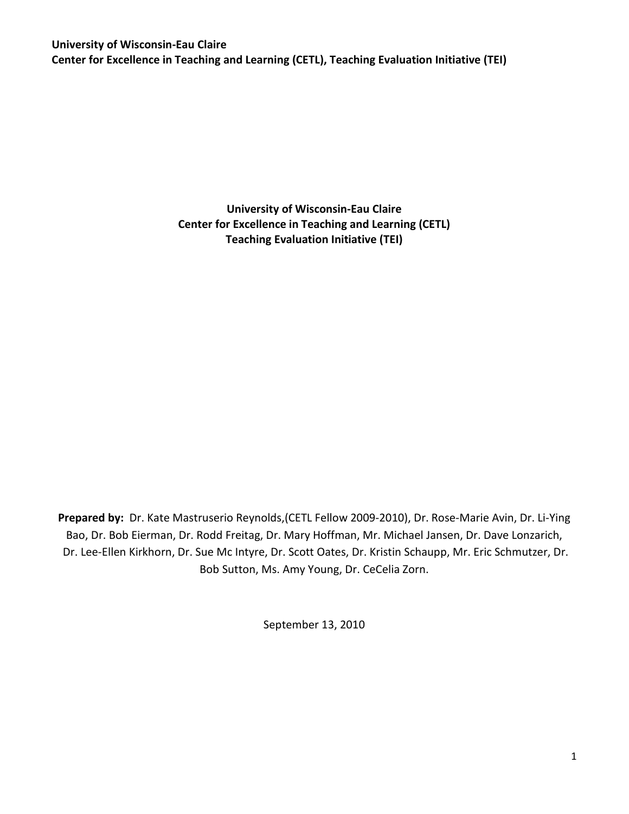**University of Wisconsin-Eau Claire Center for Excellence in Teaching and Learning (CETL) Teaching Evaluation Initiative (TEI)**

**Prepared by:** Dr. Kate Mastruserio Reynolds,(CETL Fellow 2009-2010), Dr. Rose-Marie Avin, Dr. Li-Ying Bao, Dr. Bob Eierman, Dr. Rodd Freitag, Dr. Mary Hoffman, Mr. Michael Jansen, Dr. Dave Lonzarich, Dr. Lee-Ellen Kirkhorn, Dr. Sue Mc Intyre, Dr. Scott Oates, Dr. Kristin Schaupp, Mr. Eric Schmutzer, Dr. Bob Sutton, Ms. Amy Young, Dr. CeCelia Zorn.

September 13, 2010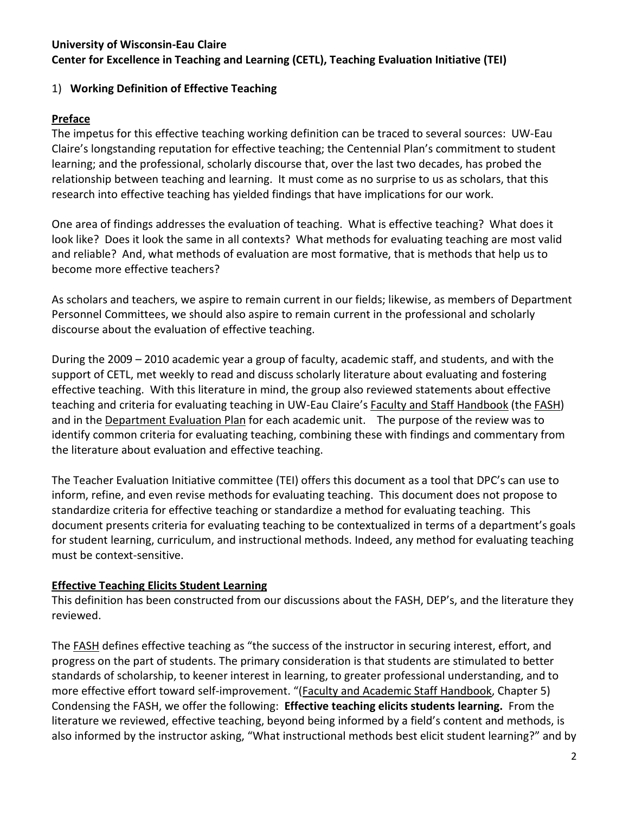#### **University of Wisconsin-Eau Claire Center for Excellence in Teaching and Learning (CETL), Teaching Evaluation Initiative (TEI)**

### 1) **Working Definition of Effective Teaching**

#### **Preface**

The impetus for this effective teaching working definition can be traced to several sources: UW-Eau Claire's longstanding reputation for effective teaching; the Centennial Plan's commitment to student learning; and the professional, scholarly discourse that, over the last two decades, has probed the relationship between teaching and learning. It must come as no surprise to us as scholars, that this research into effective teaching has yielded findings that have implications for our work.

One area of findings addresses the evaluation of teaching. What is effective teaching? What does it look like? Does it look the same in all contexts? What methods for evaluating teaching are most valid and reliable? And, what methods of evaluation are most formative, that is methods that help us to become more effective teachers?

As scholars and teachers, we aspire to remain current in our fields; likewise, as members of Department Personnel Committees, we should also aspire to remain current in the professional and scholarly discourse about the evaluation of effective teaching.

During the 2009 – 2010 academic year a group of faculty, academic staff, and students, and with the support of CETL, met weekly to read and discuss scholarly literature about evaluating and fostering effective teaching. With this literature in mind, the group also reviewed statements about effective teaching and criteria for evaluating teaching in UW-Eau Claire's Faculty and Staff Handbook (the FASH) and in the Department Evaluation Plan for each academic unit. The purpose of the review was to identify common criteria for evaluating teaching, combining these with findings and commentary from the literature about evaluation and effective teaching.

The Teacher Evaluation Initiative committee (TEI) offers this document as a tool that DPC's can use to inform, refine, and even revise methods for evaluating teaching. This document does not propose to standardize criteria for effective teaching or standardize a method for evaluating teaching. This document presents criteria for evaluating teaching to be contextualized in terms of a department's goals for student learning, curriculum, and instructional methods. Indeed, any method for evaluating teaching must be context-sensitive.

#### **Effective Teaching Elicits Student Learning**

This definition has been constructed from our discussions about the FASH, DEP's, and the literature they reviewed.

The FASH defines effective teaching as "the success of the instructor in securing interest, effort, and progress on the part of students. The primary consideration is that students are stimulated to better standards of scholarship, to keener interest in learning, to greater professional understanding, and to more effective effort toward self-improvement. "(Faculty and Academic Staff Handbook, Chapter 5) Condensing the FASH, we offer the following: **Effective teaching elicits students learning.** From the literature we reviewed, effective teaching, beyond being informed by a field's content and methods, is also informed by the instructor asking, "What instructional methods best elicit student learning?" and by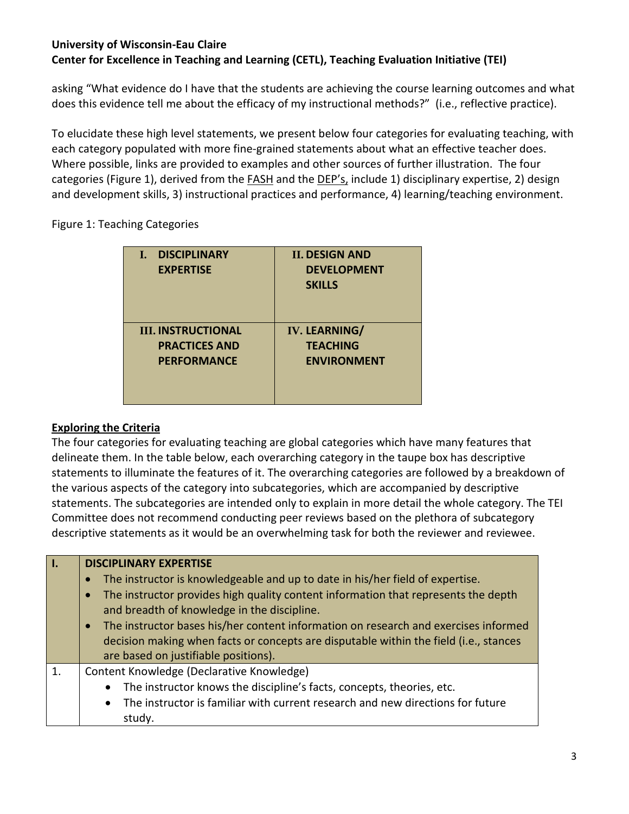## **University of Wisconsin-Eau Claire Center for Excellence in Teaching and Learning (CETL), Teaching Evaluation Initiative (TEI)**

asking "What evidence do I have that the students are achieving the course learning outcomes and what does this evidence tell me about the efficacy of my instructional methods?" (i.e., reflective practice).

To elucidate these high level statements, we present below four categories for evaluating teaching, with each category populated with more fine-grained statements about what an effective teacher does. Where possible, links are provided to examples and other sources of further illustration. The four categories (Figure 1), derived from the FASH and the DEP's, include 1) disciplinary expertise, 2) design and development skills, 3) instructional practices and performance, 4) learning/teaching environment.

Figure 1: Teaching Categories

| <b>DISCIPLINARY</b><br>L.<br><b>EXPERTISE</b> | <b>II. DESIGN AND</b><br><b>DEVELOPMENT</b><br><b>SKILLS</b> |
|-----------------------------------------------|--------------------------------------------------------------|
| <b>III. INSTRUCTIONAL</b>                     | <b>IV. LEARNING/</b>                                         |
| <b>PRACTICES AND</b>                          | <b>TEACHING</b>                                              |
| <b>PERFORMANCE</b>                            | <b>ENVIRONMENT</b>                                           |

### **Exploring the Criteria**

The four categories for evaluating teaching are global categories which have many features that delineate them. In the table below, each overarching category in the taupe box has descriptive statements to illuminate the features of it. The overarching categories are followed by a breakdown of the various aspects of the category into subcategories, which are accompanied by descriptive statements. The subcategories are intended only to explain in more detail the whole category. The TEI Committee does not recommend conducting peer reviews based on the plethora of subcategory descriptive statements as it would be an overwhelming task for both the reviewer and reviewee.

| <b>DISCIPLINARY EXPERTISE</b><br>The instructor is knowledgeable and up to date in his/her field of expertise.<br>The instructor provides high quality content information that represents the depth<br>$\bullet$<br>and breadth of knowledge in the discipline.<br>The instructor bases his/her content information on research and exercises informed<br>$\bullet$<br>decision making when facts or concepts are disputable within the field (i.e., stances<br>are based on justifiable positions). |
|-------------------------------------------------------------------------------------------------------------------------------------------------------------------------------------------------------------------------------------------------------------------------------------------------------------------------------------------------------------------------------------------------------------------------------------------------------------------------------------------------------|
| Content Knowledge (Declarative Knowledge)<br>The instructor knows the discipline's facts, concepts, theories, etc.<br>$\bullet$<br>The instructor is familiar with current research and new directions for future<br>$\bullet$<br>study.                                                                                                                                                                                                                                                              |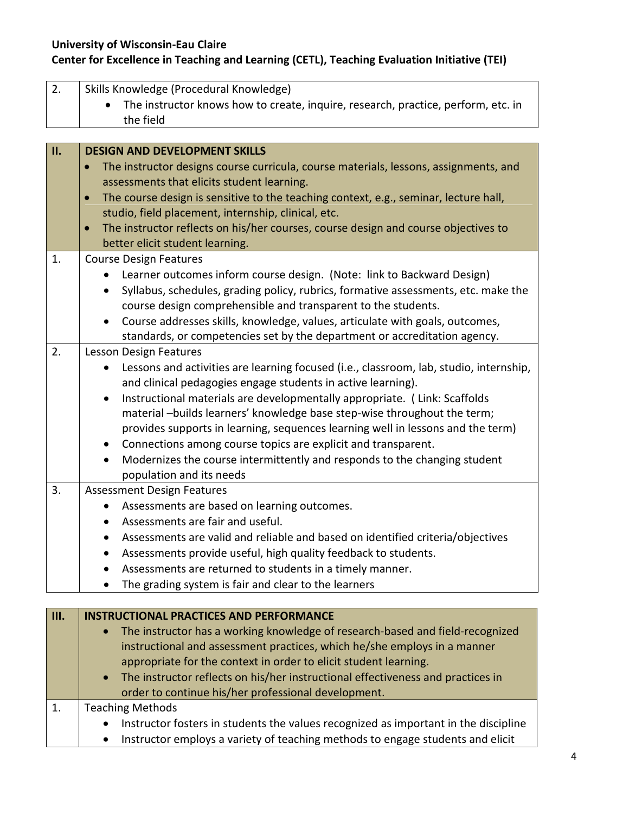#### **University of Wisconsin-Eau Claire**

# **Center for Excellence in Teaching and Learning (CETL), Teaching Evaluation Initiative (TEI)**

| 2. | Skills Knowledge (Procedural Knowledge)<br>The instructor knows how to create, inquire, research, practice, perform, etc. in<br>the field                                                                                                                                                                                                                                                                                                                                                                                                                                                                                       |
|----|---------------------------------------------------------------------------------------------------------------------------------------------------------------------------------------------------------------------------------------------------------------------------------------------------------------------------------------------------------------------------------------------------------------------------------------------------------------------------------------------------------------------------------------------------------------------------------------------------------------------------------|
|    |                                                                                                                                                                                                                                                                                                                                                                                                                                                                                                                                                                                                                                 |
| Π. | <b>DESIGN AND DEVELOPMENT SKILLS</b><br>The instructor designs course curricula, course materials, lessons, assignments, and<br>assessments that elicits student learning.<br>The course design is sensitive to the teaching context, e.g., seminar, lecture hall,<br>studio, field placement, internship, clinical, etc.<br>The instructor reflects on his/her courses, course design and course objectives to<br>better elicit student learning.                                                                                                                                                                              |
| 1. | <b>Course Design Features</b><br>Learner outcomes inform course design. (Note: link to Backward Design)<br>$\bullet$<br>Syllabus, schedules, grading policy, rubrics, formative assessments, etc. make the<br>$\bullet$<br>course design comprehensible and transparent to the students.<br>Course addresses skills, knowledge, values, articulate with goals, outcomes,<br>$\bullet$<br>standards, or competencies set by the department or accreditation agency.                                                                                                                                                              |
| 2. | Lesson Design Features<br>Lessons and activities are learning focused (i.e., classroom, lab, studio, internship,<br>and clinical pedagogies engage students in active learning).<br>Instructional materials are developmentally appropriate. (Link: Scaffolds<br>$\bullet$<br>material-builds learners' knowledge base step-wise throughout the term;<br>provides supports in learning, sequences learning well in lessons and the term)<br>Connections among course topics are explicit and transparent.<br>$\bullet$<br>Modernizes the course intermittently and responds to the changing student<br>population and its needs |
| 3. | <b>Assessment Design Features</b><br>Assessments are based on learning outcomes.<br>Assessments are fair and useful.<br>Assessments are valid and reliable and based on identified criteria/objectives<br>Assessments provide useful, high quality feedback to students.<br>Assessments are returned to students in a timely manner.<br>The grading system is fair and clear to the learners                                                                                                                                                                                                                                    |
| Ш. | <b>INSTRUCTIONAL PRACTICES AND PERFORMANCE</b>                                                                                                                                                                                                                                                                                                                                                                                                                                                                                                                                                                                  |
|    | The instructor has a working knowledge of research-based and field-recognized<br>instructional and assessment practices, which he/she employs in a manner<br>appropriate for the context in order to elicit student learning.<br>The instructor reflects on his/her instructional effectiveness and practices in<br>$\bullet$<br>order to continue his/her professional development.                                                                                                                                                                                                                                            |
| 1. | <b>Teaching Methods</b>                                                                                                                                                                                                                                                                                                                                                                                                                                                                                                                                                                                                         |
|    | Instructor fosters in students the values recognized as important in the discipline                                                                                                                                                                                                                                                                                                                                                                                                                                                                                                                                             |

• Instructor employs a variety of teaching methods to engage students and elicit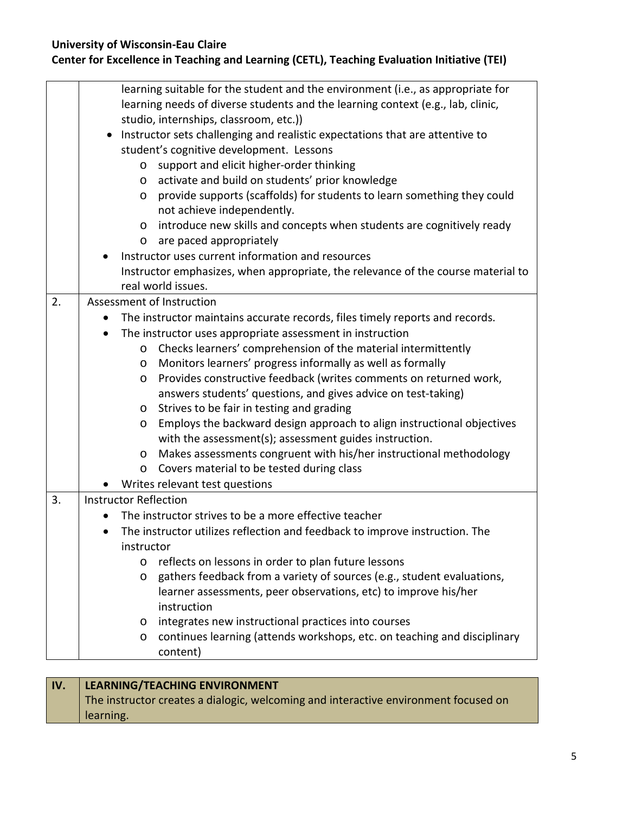## **University of Wisconsin-Eau Claire Center for Excellence in Teaching and Learning (CETL), Teaching Evaluation Initiative (TEI)**

|    | learning suitable for the student and the environment (i.e., as appropriate for           |
|----|-------------------------------------------------------------------------------------------|
|    | learning needs of diverse students and the learning context (e.g., lab, clinic,           |
|    | studio, internships, classroom, etc.))                                                    |
|    | Instructor sets challenging and realistic expectations that are attentive to              |
|    | student's cognitive development. Lessons                                                  |
|    | support and elicit higher-order thinking<br>$\circ$                                       |
|    | activate and build on students' prior knowledge<br>$\circ$                                |
|    | provide supports (scaffolds) for students to learn something they could<br>O              |
|    | not achieve independently.                                                                |
|    | introduce new skills and concepts when students are cognitively ready<br>$\circ$          |
|    | are paced appropriately<br>O                                                              |
|    | Instructor uses current information and resources                                         |
|    | Instructor emphasizes, when appropriate, the relevance of the course material to          |
|    | real world issues.                                                                        |
| 2. | Assessment of Instruction                                                                 |
|    | The instructor maintains accurate records, files timely reports and records.<br>$\bullet$ |
|    | The instructor uses appropriate assessment in instruction<br>$\bullet$                    |
|    | Checks learners' comprehension of the material intermittently<br>$\circ$                  |
|    | Monitors learners' progress informally as well as formally<br>O                           |
|    | Provides constructive feedback (writes comments on returned work,<br>O                    |
|    | answers students' questions, and gives advice on test-taking)                             |
|    | Strives to be fair in testing and grading<br>$\circ$                                      |
|    | Employs the backward design approach to align instructional objectives<br>O               |
|    | with the assessment(s); assessment guides instruction.                                    |
|    | Makes assessments congruent with his/her instructional methodology<br>O                   |
|    | Covers material to be tested during class<br>O                                            |
|    | Writes relevant test questions                                                            |
| 3. | <b>Instructor Reflection</b>                                                              |
|    | The instructor strives to be a more effective teacher                                     |
|    | The instructor utilizes reflection and feedback to improve instruction. The<br>$\bullet$  |
|    | instructor                                                                                |
|    | reflects on lessons in order to plan future lessons<br>$\circ$                            |
|    | gathers feedback from a variety of sources (e.g., student evaluations,<br>O               |
|    | learner assessments, peer observations, etc) to improve his/her                           |
|    | instruction                                                                               |
|    | integrates new instructional practices into courses<br>$\circ$                            |
|    | continues learning (attends workshops, etc. on teaching and disciplinary<br>O             |
|    | content)                                                                                  |

| LEARNING/TEACHING ENVIRONMENT                                                       |
|-------------------------------------------------------------------------------------|
| The instructor creates a dialogic, welcoming and interactive environment focused on |
| learning.                                                                           |